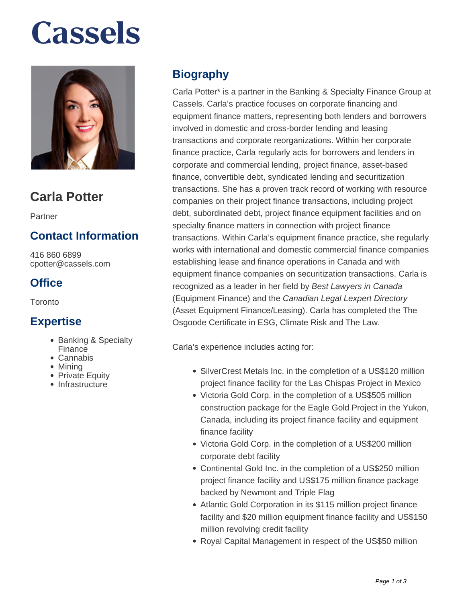# **Cassels**



### **Carla Potter**

Partner

#### **Contact Information**

416 860 6899 cpotter@cassels.com

#### **Office**

Toronto

#### **Expertise**

- Banking & Specialty Finance
- Cannabis
- Mining
- Private Equity
- **Infrastructure**

#### **Biography**

Carla Potter\* is a partner in the Banking & Specialty Finance Group at Cassels. Carla's practice focuses on corporate financing and equipment finance matters, representing both lenders and borrowers involved in domestic and cross-border lending and leasing transactions and corporate reorganizations. Within her corporate finance practice, Carla regularly acts for borrowers and lenders in corporate and commercial lending, project finance, asset-based finance, convertible debt, syndicated lending and securitization transactions. She has a proven track record of working with resource companies on their project finance transactions, including project debt, subordinated debt, project finance equipment facilities and on specialty finance matters in connection with project finance transactions. Within Carla's equipment finance practice, she regularly works with international and domestic commercial finance companies establishing lease and finance operations in Canada and with equipment finance companies on securitization transactions. Carla is recognized as a leader in her field by Best Lawyers in Canada (Equipment Finance) and the Canadian Legal Lexpert Directory (Asset Equipment Finance/Leasing). Carla has completed the The Osgoode Certificate in ESG, Climate Risk and The Law.

Carla's experience includes acting for:

- SilverCrest Metals Inc. in the completion of a US\$120 million project finance facility for the Las Chispas Project in Mexico
- Victoria Gold Corp. in the completion of a US\$505 million construction package for the Eagle Gold Project in the Yukon, Canada, including its project finance facility and equipment finance facility
- Victoria Gold Corp. in the completion of a US\$200 million corporate debt facility
- Continental Gold Inc. in the completion of a US\$250 million project finance facility and US\$175 million finance package backed by Newmont and Triple Flag
- Atlantic Gold Corporation in its \$115 million project finance facility and \$20 million equipment finance facility and US\$150 million revolving credit facility
- Royal Capital Management in respect of the US\$50 million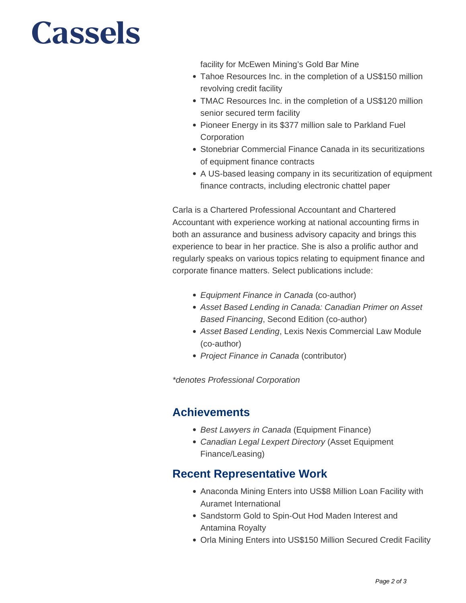## **Cassels**

facility for McEwen Mining's Gold Bar Mine

- Tahoe Resources Inc. in the completion of a US\$150 million revolving credit facility
- TMAC Resources Inc. in the completion of a US\$120 million senior secured term facility
- Pioneer Energy in its \$377 million sale to Parkland Fuel **Corporation**
- Stonebriar Commercial Finance Canada in its securitizations of equipment finance contracts
- A US-based leasing company in its securitization of equipment finance contracts, including electronic chattel paper

Carla is a Chartered Professional Accountant and Chartered Accountant with experience working at national accounting firms in both an assurance and business advisory capacity and brings this experience to bear in her practice. She is also a prolific author and regularly speaks on various topics relating to equipment finance and corporate finance matters. Select publications include:

- Equipment Finance in Canada (co-author)
- Asset Based Lending in Canada: Canadian Primer on Asset Based Financing, Second Edition (co-author)
- Asset Based Lending, Lexis Nexis Commercial Law Module (co-author)
- Project Finance in Canada (contributor)

\*denotes Professional Corporation

#### **Achievements**

- Best Lawyers in Canada (Equipment Finance)
- Canadian Legal Lexpert Directory (Asset Equipment Finance/Leasing)

#### **Recent Representative Work**

- Anaconda Mining Enters into US\$8 Million Loan Facility with Auramet International
- Sandstorm Gold to Spin-Out Hod Maden Interest and Antamina Royalty
- Orla Mining Enters into US\$150 Million Secured Credit Facility